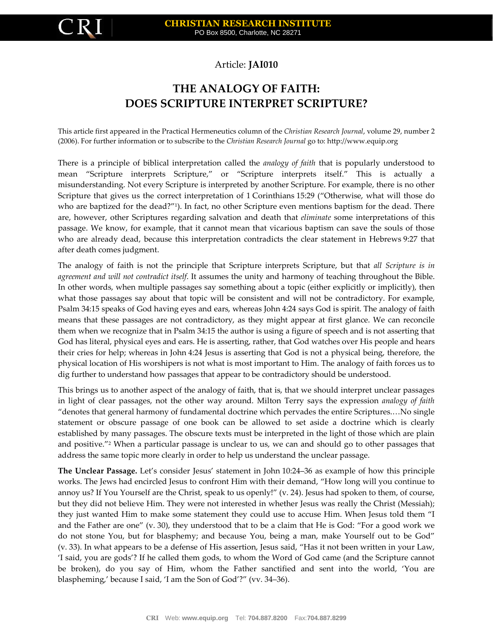

## Article: **JAI010**

## **THE ANALOGY OF FAITH: DOES SCRIPTURE INTERPRET SCRIPTURE?**

This article first appeared in the Practical Hermeneutics column of the *Christian Research Journal*, volume 29, number 2 (2006). For further information or to subscribe to the *Christian Research Journal* go to: [http://www.equip.org](http://www.equip.org/)

There is a principle of biblical interpretation called the *analogy of faith* that is popularly understood to mean "Scripture interprets Scripture," or "Scripture interprets itself." This is actually a misunderstanding. Not every Scripture is interpreted by another Scripture. For example, there is no other Scripture that gives us the correct interpretation of 1 Corinthians 15:29 ("Otherwise, what will those do who are baptized for the dead?"<sup>1</sup> ). In fact, no other Scripture even mentions baptism for the dead. There are, however, other Scriptures regarding salvation and death that *eliminate* some interpretations of this passage. We know, for example, that it cannot mean that vicarious baptism can save the souls of those who are already dead, because this interpretation contradicts the clear statement in Hebrews 9:27 that after death comes judgment.

The analogy of faith is not the principle that Scripture interprets Scripture, but that *all Scripture is in agreement and will not contradict itself*. It assumes the unity and harmony of teaching throughout the Bible. In other words, when multiple passages say something about a topic (either explicitly or implicitly), then what those passages say about that topic will be consistent and will not be contradictory. For example, Psalm 34:15 speaks of God having eyes and ears, whereas John 4:24 says God is spirit. The analogy of faith means that these passages are not contradictory, as they might appear at first glance. We can reconcile them when we recognize that in Psalm 34:15 the author is using a figure of speech and is not asserting that God has literal, physical eyes and ears. He is asserting, rather, that God watches over His people and hears their cries for help; whereas in John 4:24 Jesus is asserting that God is not a physical being, therefore, the physical location of His worshipers is not what is most important to Him. The analogy of faith forces us to dig further to understand how passages that appear to be contradictory should be understood.

This brings us to another aspect of the analogy of faith, that is, that we should interpret unclear passages in light of clear passages, not the other way around. Milton Terry says the expression *analogy of faith* "denotes that general harmony of fundamental doctrine which pervades the entire Scriptures.…No single statement or obscure passage of one book can be allowed to set aside a doctrine which is clearly established by many passages. The obscure texts must be interpreted in the light of those which are plain and positive."<sup>2</sup> When a particular passage is unclear to us, we can and should go to other passages that address the same topic more clearly in order to help us understand the unclear passage.

**The Unclear Passage.** Let's consider Jesus' statement in John 10:24–36 as example of how this principle works. The Jews had encircled Jesus to confront Him with their demand, "How long will you continue to annoy us? If You Yourself are the Christ, speak to us openly!" (v. 24). Jesus had spoken to them, of course, but they did not believe Him. They were not interested in whether Jesus was really the Christ (Messiah); they just wanted Him to make some statement they could use to accuse Him. When Jesus told them "I and the Father are one" (v. 30), they understood that to be a claim that He is God: "For a good work we do not stone You, but for blasphemy; and because You, being a man, make Yourself out to be God" (v. 33). In what appears to be a defense of His assertion, Jesus said, "Has it not been written in your Law, 'I said, you are gods'? If he called them gods, to whom the Word of God came (and the Scripture cannot be broken), do you say of Him, whom the Father sanctified and sent into the world, 'You are blaspheming,' because I said, 'I am the Son of God'?" (vv. 34–36).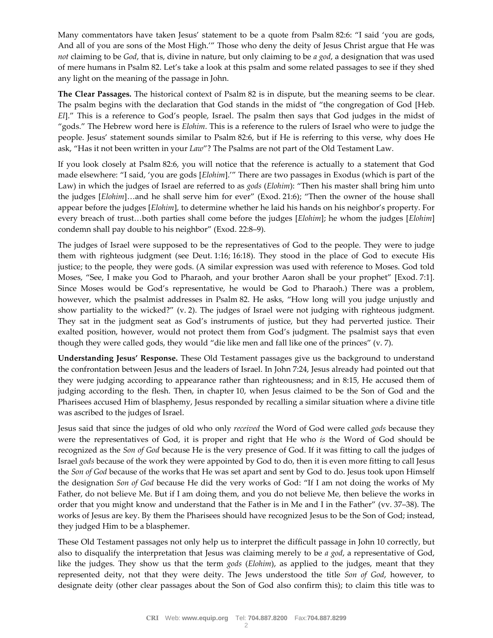Many commentators have taken Jesus' statement to be a quote from Psalm 82:6: "I said 'you are gods, And all of you are sons of the Most High.'" Those who deny the deity of Jesus Christ argue that He was *not* claiming to be *God*, that is, divine in nature, but only claiming to be *a god*, a designation that was used of mere humans in Psalm 82. Let's take a look at this psalm and some related passages to see if they shed any light on the meaning of the passage in John.

**The Clear Passages.** The historical context of Psalm 82 is in dispute, but the meaning seems to be clear. The psalm begins with the declaration that God stands in the midst of "the congregation of God [Heb. *El*]." This is a reference to God's people, Israel. The psalm then says that God judges in the midst of "gods." The Hebrew word here is *Elohim*. This is a reference to the rulers of Israel who were to judge the people. Jesus' statement sounds similar to Psalm 82:6, but if He is referring to this verse, why does He ask, "Has it not been written in your *Law*"? The Psalms are not part of the Old Testament Law.

If you look closely at Psalm 82:6, you will notice that the reference is actually to a statement that God made elsewhere: "I said, 'you are gods [*Elohim*].'" There are two passages in Exodus (which is part of the Law) in which the judges of Israel are referred to as *gods* (*Elohim*): "Then his master shall bring him unto the judges [*Elohim*]…and he shall serve him for ever" (Exod. 21:6); "Then the owner of the house shall appear before the judges [*Elohim*], to determine whether he laid his hands on his neighbor's property. For every breach of trust…both parties shall come before the judges [*Elohim*]; he whom the judges [*Elohim*] condemn shall pay double to his neighbor" (Exod. 22:8–9).

The judges of Israel were supposed to be the representatives of God to the people. They were to judge them with righteous judgment (see Deut. 1:16; 16:18). They stood in the place of God to execute His justice; to the people, they were gods. (A similar expression was used with reference to Moses. God told Moses, "See, I make you God to Pharaoh, and your brother Aaron shall be your prophet" [Exod. 7:1]. Since Moses would be God's representative, he would be God to Pharaoh.) There was a problem, however, which the psalmist addresses in Psalm 82. He asks, "How long will you judge unjustly and show partiality to the wicked?" (v. 2). The judges of Israel were not judging with righteous judgment. They sat in the judgment seat as God's instruments of justice, but they had perverted justice. Their exalted position, however, would not protect them from God's judgment. The psalmist says that even though they were called gods, they would "die like men and fall like one of the princes" (v. 7).

**Understanding Jesus' Response.** These Old Testament passages give us the background to understand the confrontation between Jesus and the leaders of Israel. In John 7:24, Jesus already had pointed out that they were judging according to appearance rather than righteousness; and in 8:15, He accused them of judging according to the flesh. Then, in chapter 10, when Jesus claimed to be the Son of God and the Pharisees accused Him of blasphemy, Jesus responded by recalling a similar situation where a divine title was ascribed to the judges of Israel.

Jesus said that since the judges of old who only *received* the Word of God were called *gods* because they were the representatives of God, it is proper and right that He who *is* the Word of God should be recognized as the *Son of God* because He is the very presence of God. If it was fitting to call the judges of Israel *gods* because of the work they were appointed by God to do, then it is even more fitting to call Jesus the *Son of God* because of the works that He was set apart and sent by God to do. Jesus took upon Himself the designation *Son of God* because He did the very works of God: "If I am not doing the works of My Father, do not believe Me. But if I am doing them, and you do not believe Me, then believe the works in order that you might know and understand that the Father is in Me and I in the Father" (vv. 37–38). The works of Jesus are key. By them the Pharisees should have recognized Jesus to be the Son of God; instead, they judged Him to be a blasphemer.

These Old Testament passages not only help us to interpret the difficult passage in John 10 correctly, but also to disqualify the interpretation that Jesus was claiming merely to be *a god*, a representative of God, like the judges. They show us that the term *gods* (*Elohim*), as applied to the judges, meant that they represented deity, not that they were deity. The Jews understood the title *Son of God*, however, to designate deity (other clear passages about the Son of God also confirm this); to claim this title was to